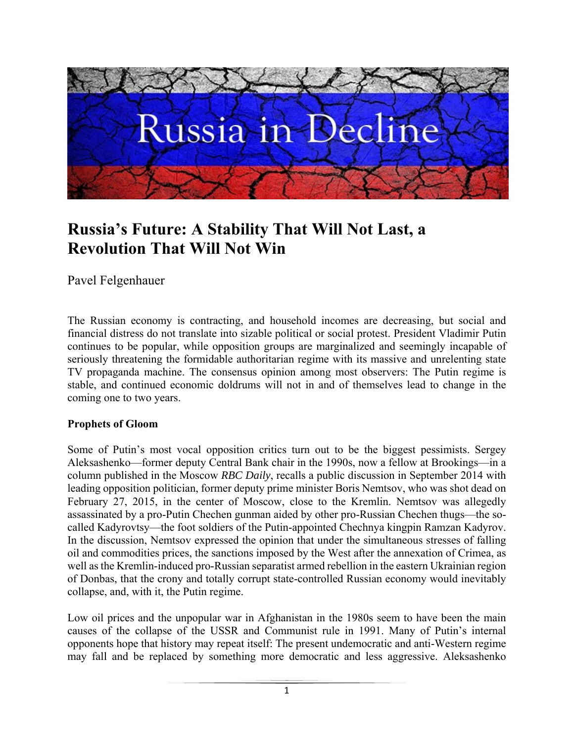

## **Russia's Future: A Stability That Will Not Last, a Revolution That Will Not Win**

Pavel Felgenhauer

The Russian economy is contracting, and household incomes are decreasing, but social and financial distress do not translate into sizable political or social protest. President Vladimir Putin continues to be popular, while opposition groups are marginalized and seemingly incapable of seriously threatening the formidable authoritarian regime with its massive and unrelenting state TV propaganda machine. The consensus opinion among most observers: The Putin regime is stable, and continued economic doldrums will not in and of themselves lead to change in the coming one to two years.

## **Prophets of Gloom**

Some of Putin's most vocal opposition critics turn out to be the biggest pessimists. Sergey Aleksashenko—former deputy Central Bank chair in the 1990s, now a fellow at Brookings—in a column published in the Moscow *RBC Daily*, recalls a public discussion in September 2014 with leading opposition politician, former deputy prime minister Boris Nemtsov, who was shot dead on February 27, 2015, in the center of Moscow, close to the Kremlin. Nemtsov was allegedly assassinated by a pro-Putin Chechen gunman aided by other pro-Russian Chechen thugs—the socalled Kadyrovtsy—the foot soldiers of the Putin-appointed Chechnya kingpin Ramzan Kadyrov. In the discussion, Nemtsov expressed the opinion that under the simultaneous stresses of falling oil and commodities prices, the sanctions imposed by the West after the annexation of Crimea, as well as the Kremlin-induced pro-Russian separatist armed rebellion in the eastern Ukrainian region of Donbas, that the crony and totally corrupt state-controlled Russian economy would inevitably collapse, and, with it, the Putin regime.

Low oil prices and the unpopular war in Afghanistan in the 1980s seem to have been the main causes of the collapse of the USSR and Communist rule in 1991. Many of Putin's internal opponents hope that history may repeat itself: The present undemocratic and anti-Western regime may fall and be replaced by something more democratic and less aggressive. Aleksashenko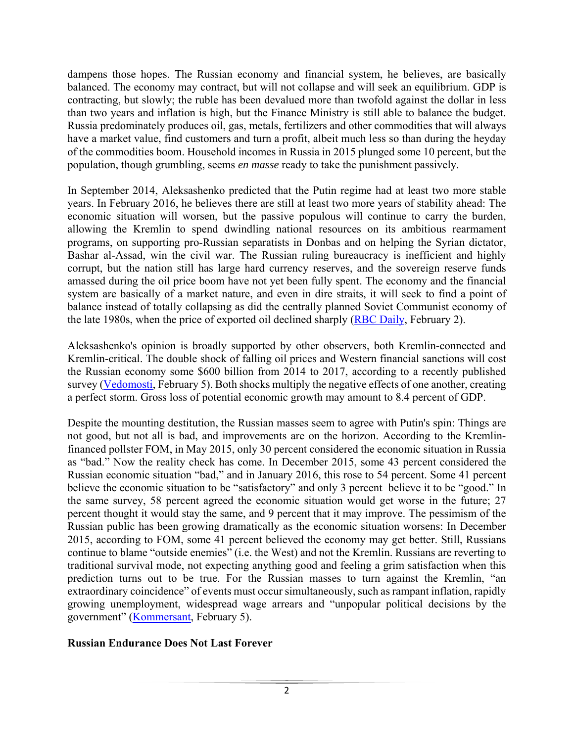dampens those hopes. The Russian economy and financial system, he believes, are basically balanced. The economy may contract, but will not collapse and will seek an equilibrium. GDP is contracting, but slowly; the ruble has been devalued more than twofold against the dollar in less than two years and inflation is high, but the Finance Ministry is still able to balance the budget. Russia predominately produces oil, gas, metals, fertilizers and other commodities that will always have a market value, find customers and turn a profit, albeit much less so than during the heyday of the commodities boom. Household incomes in Russia in 2015 plunged some 10 percent, but the population, though grumbling, seems *en masse* ready to take the punishment passively.

In September 2014, Aleksashenko predicted that the Putin regime had at least two more stable years. In February 2016, he believes there are still at least two more years of stability ahead: The economic situation will worsen, but the passive populous will continue to carry the burden, allowing the Kremlin to spend dwindling national resources on its ambitious rearmament programs, on supporting pro-Russian separatists in Donbas and on helping the Syrian dictator, Bashar al-Assad, win the civil war. The Russian ruling bureaucracy is inefficient and highly corrupt, but the nation still has large hard currency reserves, and the sovereign reserve funds amassed during the oil price boom have not yet been fully spent. The economy and the financial system are basically of a market nature, and even in dire straits, it will seek to find a point of balance instead of totally collapsing as did the centrally planned Soviet Communist economy of the late 1980s, when the price of exported oil declined sharply (RBC Daily, February 2).

Aleksashenko's opinion is broadly supported by other observers, both Kremlin-connected and Kremlin-critical. The double shock of falling oil prices and Western financial sanctions will cost the Russian economy some \$600 billion from 2014 to 2017, according to a recently published survey (Vedomosti, February 5). Both shocks multiply the negative effects of one another, creating a perfect storm. Gross loss of potential economic growth may amount to 8.4 percent of GDP.

Despite the mounting destitution, the Russian masses seem to agree with Putin's spin: Things are not good, but not all is bad, and improvements are on the horizon. According to the Kremlinfinanced pollster FOM, in May 2015, only 30 percent considered the economic situation in Russia as "bad." Now the reality check has come. In December 2015, some 43 percent considered the Russian economic situation "bad," and in January 2016, this rose to 54 percent. Some 41 percent believe the economic situation to be "satisfactory" and only 3 percent believe it to be "good." In the same survey, 58 percent agreed the economic situation would get worse in the future; 27 percent thought it would stay the same, and 9 percent that it may improve. The pessimism of the Russian public has been growing dramatically as the economic situation worsens: In December 2015, according to FOM, some 41 percent believed the economy may get better. Still, Russians continue to blame "outside enemies" (i.e. the West) and not the Kremlin. Russians are reverting to traditional survival mode, not expecting anything good and feeling a grim satisfaction when this prediction turns out to be true. For the Russian masses to turn against the Kremlin, "an extraordinary coincidence" of events must occur simultaneously, such as rampant inflation, rapidly growing unemployment, widespread wage arrears and "unpopular political decisions by the government" (Kommersant, February 5).

## **Russian Endurance Does Not Last Forever**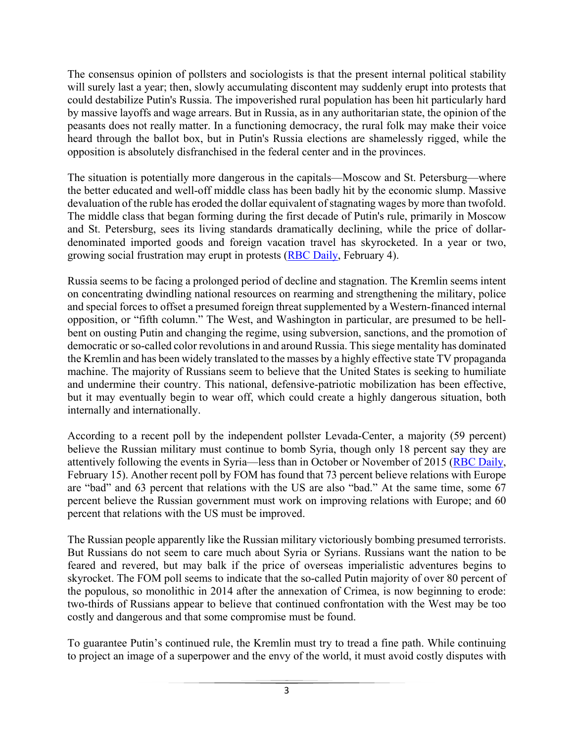The consensus opinion of pollsters and sociologists is that the present internal political stability will surely last a year; then, slowly accumulating discontent may suddenly erupt into protests that could destabilize Putin's Russia. The impoverished rural population has been hit particularly hard by massive layoffs and wage arrears. But in Russia, as in any authoritarian state, the opinion of the peasants does not really matter. In a functioning democracy, the rural folk may make their voice heard through the ballot box, but in Putin's Russia elections are shamelessly rigged, while the opposition is absolutely disfranchised in the federal center and in the provinces.

The situation is potentially more dangerous in the capitals—Moscow and St. Petersburg—where the better educated and well-off middle class has been badly hit by the economic slump. Massive devaluation of the ruble has eroded the dollar equivalent of stagnating wages by more than twofold. The middle class that began forming during the first decade of Putin's rule, primarily in Moscow and St. Petersburg, sees its living standards dramatically declining, while the price of dollardenominated imported goods and foreign vacation travel has skyrocketed. In a year or two, growing social frustration may erupt in protests (RBC Daily, February 4).

Russia seems to be facing a prolonged period of decline and stagnation. The Kremlin seems intent on concentrating dwindling national resources on rearming and strengthening the military, police and special forces to offset a presumed foreign threat supplemented by a Western-financed internal opposition, or "fifth column." The West, and Washington in particular, are presumed to be hellbent on ousting Putin and changing the regime, using subversion, sanctions, and the promotion of democratic or so-called color revolutions in and around Russia. This siege mentality has dominated the Kremlin and has been widely translated to the masses by a highly effective state TV propaganda machine. The majority of Russians seem to believe that the United States is seeking to humiliate and undermine their country. This national, defensive-patriotic mobilization has been effective, but it may eventually begin to wear off, which could create a highly dangerous situation, both internally and internationally.

According to a recent poll by the independent pollster Levada-Center, a majority (59 percent) believe the Russian military must continue to bomb Syria, though only 18 percent say they are attentively following the events in Syria—less than in October or November of 2015 (RBC Daily, February 15). Another recent poll by FOM has found that 73 percent believe relations with Europe are "bad" and 63 percent that relations with the US are also "bad." At the same time, some 67 percent believe the Russian government must work on improving relations with Europe; and 60 percent that relations with the US must be improved.

The Russian people apparently like the Russian military victoriously bombing presumed terrorists. But Russians do not seem to care much about Syria or Syrians. Russians want the nation to be feared and revered, but may balk if the price of overseas imperialistic adventures begins to skyrocket. The FOM poll seems to indicate that the so-called Putin majority of over 80 percent of the populous, so monolithic in 2014 after the annexation of Crimea, is now beginning to erode: two-thirds of Russians appear to believe that continued confrontation with the West may be too costly and dangerous and that some compromise must be found.

To guarantee Putin's continued rule, the Kremlin must try to tread a fine path. While continuing to project an image of a superpower and the envy of the world, it must avoid costly disputes with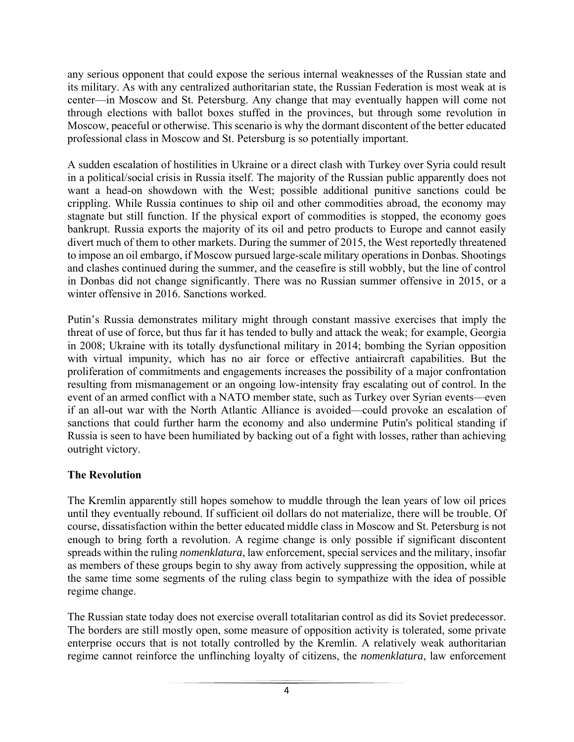any serious opponent that could expose the serious internal weaknesses of the Russian state and its military. As with any centralized authoritarian state, the Russian Federation is most weak at is center—in Moscow and St. Petersburg. Any change that may eventually happen will come not through elections with ballot boxes stuffed in the provinces, but through some revolution in Moscow, peaceful or otherwise. This scenario is why the dormant discontent of the better educated professional class in Moscow and St. Petersburg is so potentially important.

A sudden escalation of hostilities in Ukraine or a direct clash with Turkey over Syria could result in a political/social crisis in Russia itself. The majority of the Russian public apparently does not want a head-on showdown with the West; possible additional punitive sanctions could be crippling. While Russia continues to ship oil and other commodities abroad, the economy may stagnate but still function. If the physical export of commodities is stopped, the economy goes bankrupt. Russia exports the majority of its oil and petro products to Europe and cannot easily divert much of them to other markets. During the summer of 2015, the West reportedly threatened to impose an oil embargo, if Moscow pursued large-scale military operations in Donbas. Shootings and clashes continued during the summer, and the ceasefire is still wobbly, but the line of control in Donbas did not change significantly. There was no Russian summer offensive in 2015, or a winter offensive in 2016. Sanctions worked.

Putin's Russia demonstrates military might through constant massive exercises that imply the threat of use of force, but thus far it has tended to bully and attack the weak; for example, Georgia in 2008; Ukraine with its totally dysfunctional military in 2014; bombing the Syrian opposition with virtual impunity, which has no air force or effective antiaircraft capabilities. But the proliferation of commitments and engagements increases the possibility of a major confrontation resulting from mismanagement or an ongoing low-intensity fray escalating out of control. In the event of an armed conflict with a NATO member state, such as Turkey over Syrian events—even if an all-out war with the North Atlantic Alliance is avoided—could provoke an escalation of sanctions that could further harm the economy and also undermine Putin's political standing if Russia is seen to have been humiliated by backing out of a fight with losses, rather than achieving outright victory.

## **The Revolution**

The Kremlin apparently still hopes somehow to muddle through the lean years of low oil prices until they eventually rebound. If sufficient oil dollars do not materialize, there will be trouble. Of course, dissatisfaction within the better educated middle class in Moscow and St. Petersburg is not enough to bring forth a revolution. A regime change is only possible if significant discontent spreads within the ruling *nomenklatura*, law enforcement, special services and the military, insofar as members of these groups begin to shy away from actively suppressing the opposition, while at the same time some segments of the ruling class begin to sympathize with the idea of possible regime change.

The Russian state today does not exercise overall totalitarian control as did its Soviet predecessor. The borders are still mostly open, some measure of opposition activity is tolerated, some private enterprise occurs that is not totally controlled by the Kremlin. A relatively weak authoritarian regime cannot reinforce the unflinching loyalty of citizens, the *nomenklatura*, law enforcement